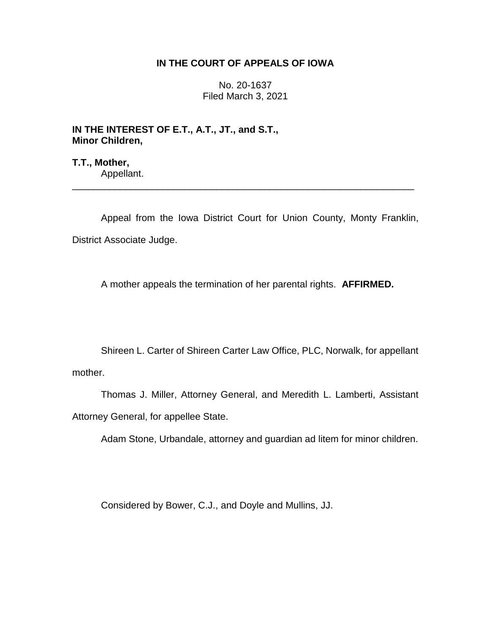## **IN THE COURT OF APPEALS OF IOWA**

No. 20-1637 Filed March 3, 2021

**IN THE INTEREST OF E.T., A.T., JT., and S.T., Minor Children,**

**T.T., Mother,** Appellant.

Appeal from the Iowa District Court for Union County, Monty Franklin, District Associate Judge.

\_\_\_\_\_\_\_\_\_\_\_\_\_\_\_\_\_\_\_\_\_\_\_\_\_\_\_\_\_\_\_\_\_\_\_\_\_\_\_\_\_\_\_\_\_\_\_\_\_\_\_\_\_\_\_\_\_\_\_\_\_\_\_\_

A mother appeals the termination of her parental rights. **AFFIRMED.**

Shireen L. Carter of Shireen Carter Law Office, PLC, Norwalk, for appellant mother.

Thomas J. Miller, Attorney General, and Meredith L. Lamberti, Assistant Attorney General, for appellee State.

Adam Stone, Urbandale, attorney and guardian ad litem for minor children.

Considered by Bower, C.J., and Doyle and Mullins, JJ.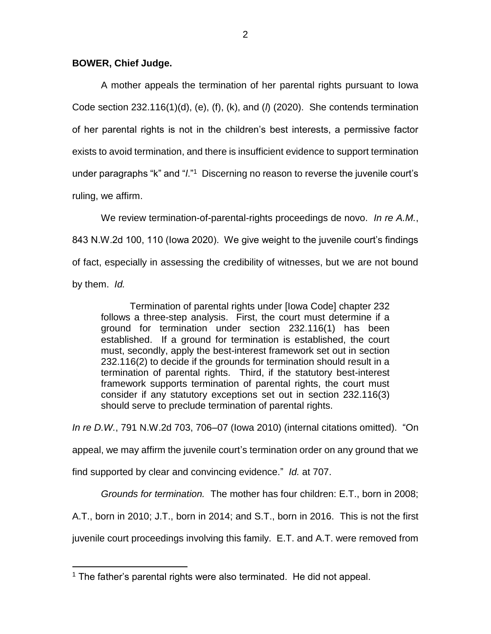## **BOWER, Chief Judge.**

A mother appeals the termination of her parental rights pursuant to Iowa Code section 232.116(1)(d), (e), (f), (k), and (*l*) (2020). She contends termination of her parental rights is not in the children's best interests, a permissive factor exists to avoid termination, and there is insufficient evidence to support termination under paragraphs "k" and "*l*."<sup>1</sup> Discerning no reason to reverse the juvenile court's ruling, we affirm.

We review termination-of-parental-rights proceedings de novo. *In re A.M.*, 843 N.W.2d 100, 110 (Iowa 2020). We give weight to the juvenile court's findings of fact, especially in assessing the credibility of witnesses, but we are not bound by them. *Id.* 

Termination of parental rights under [Iowa Code] chapter 232 follows a three-step analysis. First, the court must determine if a ground for termination under section 232.116(1) has been established. If a ground for termination is established, the court must, secondly, apply the best-interest framework set out in section 232.116(2) to decide if the grounds for termination should result in a termination of parental rights. Third, if the statutory best-interest framework supports termination of parental rights, the court must consider if any statutory exceptions set out in section 232.116(3) should serve to preclude termination of parental rights.

*In re D.W.*, 791 N.W.2d 703, 706–07 (Iowa 2010) (internal citations omitted). "On

appeal, we may affirm the juvenile court's termination order on any ground that we

find supported by clear and convincing evidence." *Id.* at 707.

*Grounds for termination.* The mother has four children: E.T., born in 2008;

A.T., born in 2010; J.T., born in 2014; and S.T., born in 2016. This is not the first

juvenile court proceedings involving this family. E.T. and A.T. were removed from

 $\overline{a}$ <sup>1</sup> The father's parental rights were also terminated. He did not appeal.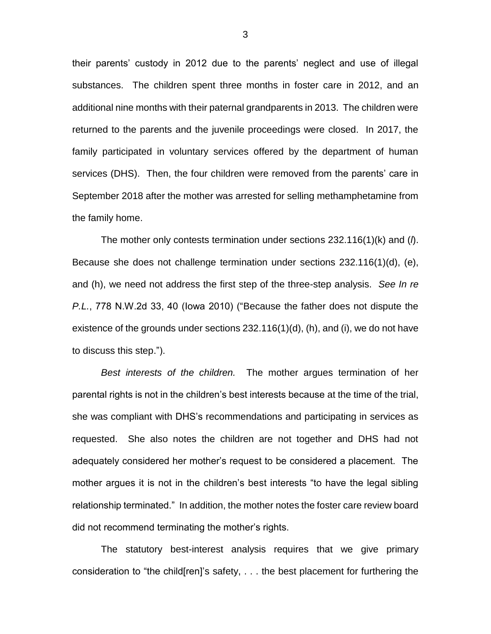their parents' custody in 2012 due to the parents' neglect and use of illegal substances. The children spent three months in foster care in 2012, and an additional nine months with their paternal grandparents in 2013. The children were returned to the parents and the juvenile proceedings were closed. In 2017, the family participated in voluntary services offered by the department of human services (DHS). Then, the four children were removed from the parents' care in September 2018 after the mother was arrested for selling methamphetamine from the family home.

The mother only contests termination under sections 232.116(1)(k) and (*l*). Because she does not challenge termination under sections 232.116(1)(d), (e), and (h), we need not address the first step of the three-step analysis. *See In re P.L.*, 778 N.W.2d 33, 40 (Iowa 2010) ("Because the father does not dispute the existence of the grounds under sections 232.116(1)(d), (h), and (i), we do not have to discuss this step.").

*Best interests of the children.* The mother argues termination of her parental rights is not in the children's best interests because at the time of the trial, she was compliant with DHS's recommendations and participating in services as requested. She also notes the children are not together and DHS had not adequately considered her mother's request to be considered a placement. The mother argues it is not in the children's best interests "to have the legal sibling relationship terminated." In addition, the mother notes the foster care review board did not recommend terminating the mother's rights.

The statutory best-interest analysis requires that we give primary consideration to "the child[ren]'s safety, . . . the best placement for furthering the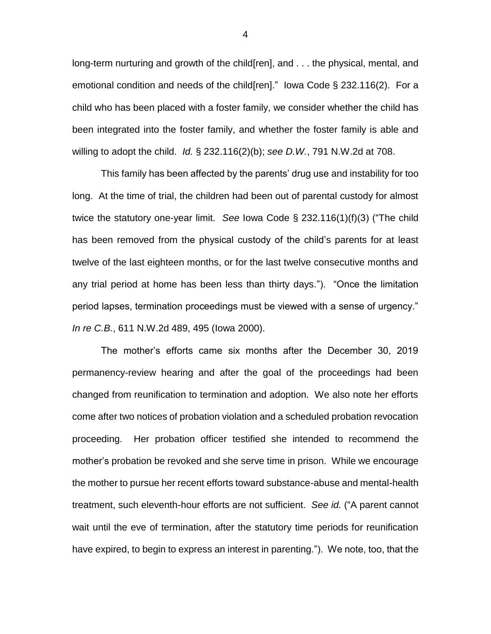long-term nurturing and growth of the child[ren], and . . . the physical, mental, and emotional condition and needs of the child[ren]." Iowa Code § 232.116(2). For a child who has been placed with a foster family, we consider whether the child has been integrated into the foster family, and whether the foster family is able and willing to adopt the child. *Id.* § 232.116(2)(b); *see D.W.*, 791 N.W.2d at 708.

This family has been affected by the parents' drug use and instability for too long. At the time of trial, the children had been out of parental custody for almost twice the statutory one-year limit. *See* Iowa Code § 232.116(1)(f)(3) ("The child has been removed from the physical custody of the child's parents for at least twelve of the last eighteen months, or for the last twelve consecutive months and any trial period at home has been less than thirty days."). "Once the limitation period lapses, termination proceedings must be viewed with a sense of urgency." *In re C.B.*, 611 N.W.2d 489, 495 (Iowa 2000).

The mother's efforts came six months after the December 30, 2019 permanency-review hearing and after the goal of the proceedings had been changed from reunification to termination and adoption. We also note her efforts come after two notices of probation violation and a scheduled probation revocation proceeding. Her probation officer testified she intended to recommend the mother's probation be revoked and she serve time in prison. While we encourage the mother to pursue her recent efforts toward substance-abuse and mental-health treatment, such eleventh-hour efforts are not sufficient. *See id.* ("A parent cannot wait until the eve of termination, after the statutory time periods for reunification have expired, to begin to express an interest in parenting."). We note, too, that the

4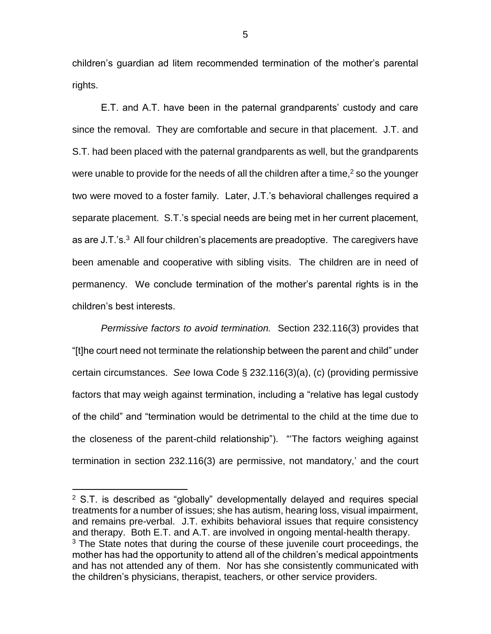children's guardian ad litem recommended termination of the mother's parental rights.

E.T. and A.T. have been in the paternal grandparents' custody and care since the removal. They are comfortable and secure in that placement. J.T. and S.T. had been placed with the paternal grandparents as well, but the grandparents were unable to provide for the needs of all the children after a time, $<sup>2</sup>$  so the younger</sup> two were moved to a foster family. Later, J.T.'s behavioral challenges required a separate placement. S.T.'s special needs are being met in her current placement, as are J.T.'s. $3$  All four children's placements are preadoptive. The caregivers have been amenable and cooperative with sibling visits. The children are in need of permanency. We conclude termination of the mother's parental rights is in the children's best interests.

*Permissive factors to avoid termination.* Section 232.116(3) provides that "[t]he court need not terminate the relationship between the parent and child" under certain circumstances. *See* Iowa Code § 232.116(3)(a), (c) (providing permissive factors that may weigh against termination, including a "relative has legal custody of the child" and "termination would be detrimental to the child at the time due to the closeness of the parent-child relationship"). "'The factors weighing against termination in section 232.116(3) are permissive, not mandatory,' and the court

 $\overline{a}$ 

 $2$  S.T. is described as "globally" developmentally delayed and requires special treatments for a number of issues; she has autism, hearing loss, visual impairment, and remains pre-verbal. J.T. exhibits behavioral issues that require consistency and therapy. Both E.T. and A.T. are involved in ongoing mental-health therapy.  $3$  The State notes that during the course of these juvenile court proceedings, the mother has had the opportunity to attend all of the children's medical appointments and has not attended any of them. Nor has she consistently communicated with the children's physicians, therapist, teachers, or other service providers.